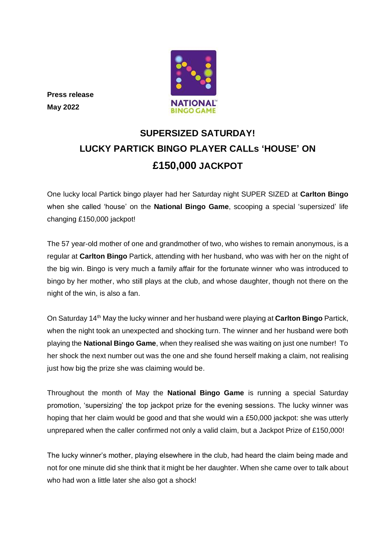

**Press release May 2022**

## **SUPERSIZED SATURDAY! LUCKY PARTICK BINGO PLAYER CALLs 'HOUSE' ON £150,000 JACKPOT**

One lucky local Partick bingo player had her Saturday night SUPER SIZED at **Carlton Bingo** when she called 'house' on the **National Bingo Game**, scooping a special 'supersized' life changing £150,000 jackpot!

The 57 year-old mother of one and grandmother of two, who wishes to remain anonymous, is a regular at **Carlton Bingo** Partick, attending with her husband, who was with her on the night of the big win. Bingo is very much a family affair for the fortunate winner who was introduced to bingo by her mother, who still plays at the club, and whose daughter, though not there on the night of the win, is also a fan.

On Saturday 14th May the lucky winner and her husband were playing at **Carlton Bingo** Partick, when the night took an unexpected and shocking turn. The winner and her husband were both playing the **National Bingo Game**, when they realised she was waiting on just one number! To her shock the next number out was the one and she found herself making a claim, not realising just how big the prize she was claiming would be.

Throughout the month of May the **National Bingo Game** is running a special Saturday promotion, 'supersizing' the top jackpot prize for the evening sessions. The lucky winner was hoping that her claim would be good and that she would win a £50,000 jackpot: she was utterly unprepared when the caller confirmed not only a valid claim, but a Jackpot Prize of £150,000!

The lucky winner's mother, playing elsewhere in the club, had heard the claim being made and not for one minute did she think that it might be her daughter. When she came over to talk about who had won a little later she also got a shock!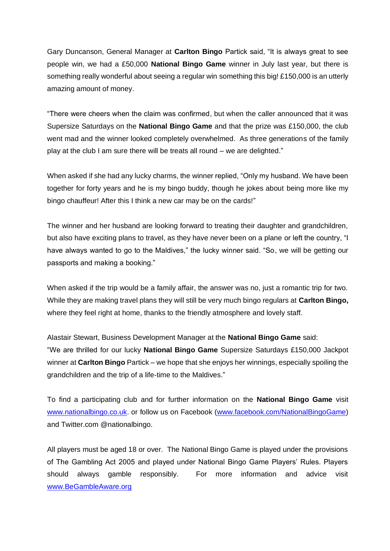Gary Duncanson, General Manager at **Carlton Bingo** Partick said, "It is always great to see people win, we had a £50,000 **National Bingo Game** winner in July last year, but there is something really wonderful about seeing a regular win something this big! £150,000 is an utterly amazing amount of money.

"There were cheers when the claim was confirmed, but when the caller announced that it was Supersize Saturdays on the **National Bingo Game** and that the prize was £150,000, the club went mad and the winner looked completely overwhelmed. As three generations of the family play at the club I am sure there will be treats all round – we are delighted."

When asked if she had any lucky charms, the winner replied, "Only my husband. We have been together for forty years and he is my bingo buddy, though he jokes about being more like my bingo chauffeur! After this I think a new car may be on the cards!"

The winner and her husband are looking forward to treating their daughter and grandchildren, but also have exciting plans to travel, as they have never been on a plane or left the country, "I have always wanted to go to the Maldives," the lucky winner said. "So, we will be getting our passports and making a booking."

When asked if the trip would be a family affair, the answer was no, just a romantic trip for two. While they are making travel plans they will still be very much bingo regulars at **Carlton Bingo,**  where they feel right at home, thanks to the friendly atmosphere and lovely staff.

Alastair Stewart, Business Development Manager at the **National Bingo Game** said: "We are thrilled for our lucky **National Bingo Game** Supersize Saturdays £150,000 Jackpot winner at **Carlton Bingo** Partick – we hope that she enjoys her winnings, especially spoiling the grandchildren and the trip of a life-time to the Maldives."

To find a participating club and for further information on the **National Bingo Game** visit [www.nationalbingo.co.uk.](http://www.nationalbingo.co.uk/) or follow us on Facebook [\(www.facebook.com/NationalBingoGame\)](http://www.facebook.com/NationalBingoGame) and Twitter.com @nationalbingo.

All players must be aged 18 or over. The National Bingo Game is played under the provisions of The Gambling Act 2005 and played under National Bingo Game Players' Rules. Players should always gamble responsibly. For more information and advice visit [www.BeGambleAware.org](http://www.begambleaware.org/)